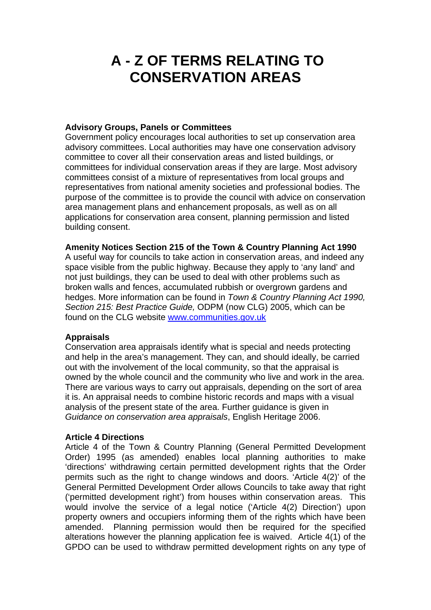# **A - Z OF TERMS RELATING TO CONSERVATION AREAS**

# **Advisory Groups, Panels or Committees**

Government policy encourages local authorities to set up conservation area advisory committees. Local authorities may have one conservation advisory committee to cover all their conservation areas and listed buildings, or committees for individual conservation areas if they are large. Most advisory committees consist of a mixture of representatives from local groups and representatives from national amenity societies and professional bodies. The purpose of the committee is to provide the council with advice on conservation area management plans and enhancement proposals, as well as on all applications for conservation area consent, planning permission and listed building consent.

#### **Amenity Notices Section 215 of the Town & Country Planning Act 1990**

A useful way for councils to take action in conservation areas, and indeed any space visible from the public highway. Because they apply to 'any land' and not just buildings, they can be used to deal with other problems such as broken walls and fences, accumulated rubbish or overgrown gardens and hedges. More information can be found in *Town & Country Planning Act 1990, Section 215: Best Practice Guide,* ODPM (now CLG) 2005, which can be found on the CLG website www.communities.gov.uk

# **Appraisals**

Conservation area appraisals identify what is special and needs protecting and help in the area's management. They can, and should ideally, be carried out with the involvement of the local community, so that the appraisal is owned by the whole council and the community who live and work in the area. There are various ways to carry out appraisals, depending on the sort of area it is. An appraisal needs to combine historic records and maps with a visual analysis of the present state of the area. Further guidance is given in *Guidance on conservation area appraisals*, English Heritage 2006.

# **Article 4 Directions**

Article 4 of the Town & Country Planning (General Permitted Development Order) 1995 (as amended) enables local planning authorities to make 'directions' withdrawing certain permitted development rights that the Order permits such as the right to change windows and doors. 'Article 4(2)' of the General Permitted Development Order allows Councils to take away that right ('permitted development right') from houses within conservation areas. This would involve the service of a legal notice ('Article 4(2) Direction') upon property owners and occupiers informing them of the rights which have been amended. Planning permission would then be required for the specified alterations however the planning application fee is waived. Article 4(1) of the GPDO can be used to withdraw permitted development rights on any type of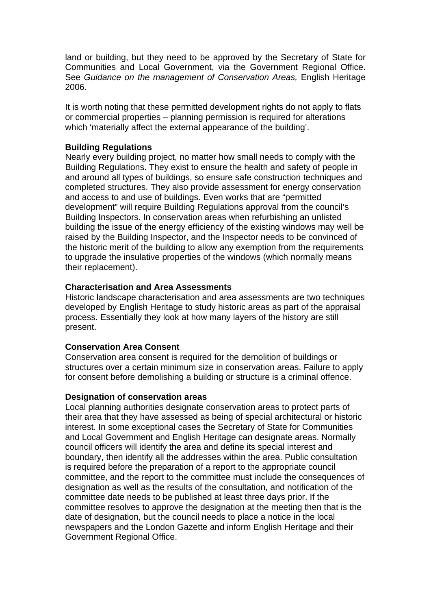land or building, but they need to be approved by the Secretary of State for Communities and Local Government, via the Government Regional Office. See *Guidance on the management of Conservation Areas,* English Heritage 2006.

It is worth noting that these permitted development rights do not apply to flats or commercial properties – planning permission is required for alterations which 'materially affect the external appearance of the building'.

# **Building Regulations**

Nearly every building project, no matter how small needs to comply with the Building Regulations. They exist to ensure the health and safety of people in and around all types of buildings, so ensure safe construction techniques and completed structures. They also provide assessment for energy conservation and access to and use of buildings. Even works that are "permitted development" will require Building Regulations approval from the council's Building Inspectors. In conservation areas when refurbishing an unlisted building the issue of the energy efficiency of the existing windows may well be raised by the Building Inspector, and the Inspector needs to be convinced of the historic merit of the building to allow any exemption from the requirements to upgrade the insulative properties of the windows (which normally means their replacement).

# **Characterisation and Area Assessments**

Historic landscape characterisation and area assessments are two techniques developed by English Heritage to study historic areas as part of the appraisal process. Essentially they look at how many layers of the history are still present.

# **Conservation Area Consent**

Conservation area consent is required for the demolition of buildings or structures over a certain minimum size in conservation areas. Failure to apply for consent before demolishing a building or structure is a criminal offence.

# **Designation of conservation areas**

Local planning authorities designate conservation areas to protect parts of their area that they have assessed as being of special architectural or historic interest. In some exceptional cases the Secretary of State for Communities and Local Government and English Heritage can designate areas. Normally council officers will identify the area and define its special interest and boundary, then identify all the addresses within the area. Public consultation is required before the preparation of a report to the appropriate council committee, and the report to the committee must include the consequences of designation as well as the results of the consultation, and notification of the committee date needs to be published at least three days prior. If the committee resolves to approve the designation at the meeting then that is the date of designation, but the council needs to place a notice in the local newspapers and the London Gazette and inform English Heritage and their Government Regional Office.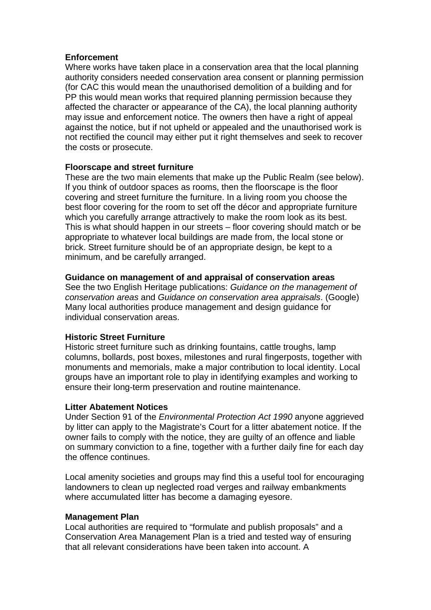## **Enforcement**

Where works have taken place in a conservation area that the local planning authority considers needed conservation area consent or planning permission (for CAC this would mean the unauthorised demolition of a building and for PP this would mean works that required planning permission because they affected the character or appearance of the CA), the local planning authority may issue and enforcement notice. The owners then have a right of appeal against the notice, but if not upheld or appealed and the unauthorised work is not rectified the council may either put it right themselves and seek to recover the costs or prosecute.

# **Floorscape and street furniture**

These are the two main elements that make up the Public Realm (see below). If you think of outdoor spaces as rooms, then the floorscape is the floor covering and street furniture the furniture. In a living room you choose the best floor covering for the room to set off the décor and appropriate furniture which you carefully arrange attractively to make the room look as its best. This is what should happen in our streets – floor covering should match or be appropriate to whatever local buildings are made from, the local stone or brick. Street furniture should be of an appropriate design, be kept to a minimum, and be carefully arranged.

## **Guidance on management of and appraisal of conservation areas**

See the two English Heritage publications: *Guidance on the management of conservation areas* and *Guidance on conservation area appraisals*. (Google) Many local authorities produce management and design guidance for individual conservation areas.

# **Historic Street Furniture**

Historic street furniture such as drinking fountains, cattle troughs, lamp columns, bollards, post boxes, milestones and rural fingerposts, together with monuments and memorials, make a major contribution to local identity. Local groups have an important role to play in identifying examples and working to ensure their long-term preservation and routine maintenance.

#### **Litter Abatement Notices**

Under Section 91 of the *Environmental Protection Act 1990* anyone aggrieved by litter can apply to the Magistrate's Court for a litter abatement notice. If the owner fails to comply with the notice, they are guilty of an offence and liable on summary conviction to a fine, together with a further daily fine for each day the offence continues.

Local amenity societies and groups may find this a useful tool for encouraging landowners to clean up neglected road verges and railway embankments where accumulated litter has become a damaging eyesore.

#### **Management Plan**

Local authorities are required to "formulate and publish proposals" and a Conservation Area Management Plan is a tried and tested way of ensuring that all relevant considerations have been taken into account. A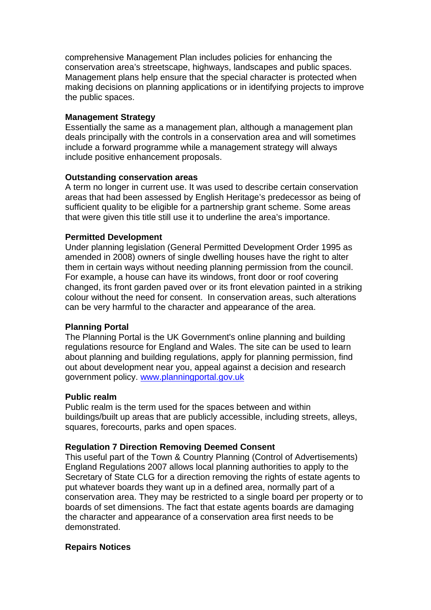comprehensive Management Plan includes policies for enhancing the conservation area's streetscape, highways, landscapes and public spaces. Management plans help ensure that the special character is protected when making decisions on planning applications or in identifying projects to improve the public spaces.

## **Management Strategy**

Essentially the same as a management plan, although a management plan deals principally with the controls in a conservation area and will sometimes include a forward programme while a management strategy will always include positive enhancement proposals.

## **Outstanding conservation areas**

A term no longer in current use. It was used to describe certain conservation areas that had been assessed by English Heritage's predecessor as being of sufficient quality to be eligible for a partnership grant scheme. Some areas that were given this title still use it to underline the area's importance.

# **Permitted Development**

Under planning legislation (General Permitted Development Order 1995 as amended in 2008) owners of single dwelling houses have the right to alter them in certain ways without needing planning permission from the council. For example, a house can have its windows, front door or roof covering changed, its front garden paved over or its front elevation painted in a striking colour without the need for consent. In conservation areas, such alterations can be very harmful to the character and appearance of the area.

# **Planning Portal**

The Planning Portal is the UK Government's online planning and building regulations resource for England and Wales. The site can be used to learn about planning and building regulations, apply for planning permission, find out about development near you, appeal against a decision and research government policy. www.planningportal.gov.uk

#### **Public realm**

Public realm is the term used for the spaces between and within buildings/built up areas that are publicly accessible, including streets, alleys, squares, forecourts, parks and open spaces.

# **Regulation 7 Direction Removing Deemed Consent**

This useful part of the Town & Country Planning (Control of Advertisements) England Regulations 2007 allows local planning authorities to apply to the Secretary of State CLG for a direction removing the rights of estate agents to put whatever boards they want up in a defined area, normally part of a conservation area. They may be restricted to a single board per property or to boards of set dimensions. The fact that estate agents boards are damaging the character and appearance of a conservation area first needs to be demonstrated.

#### **Repairs Notices**